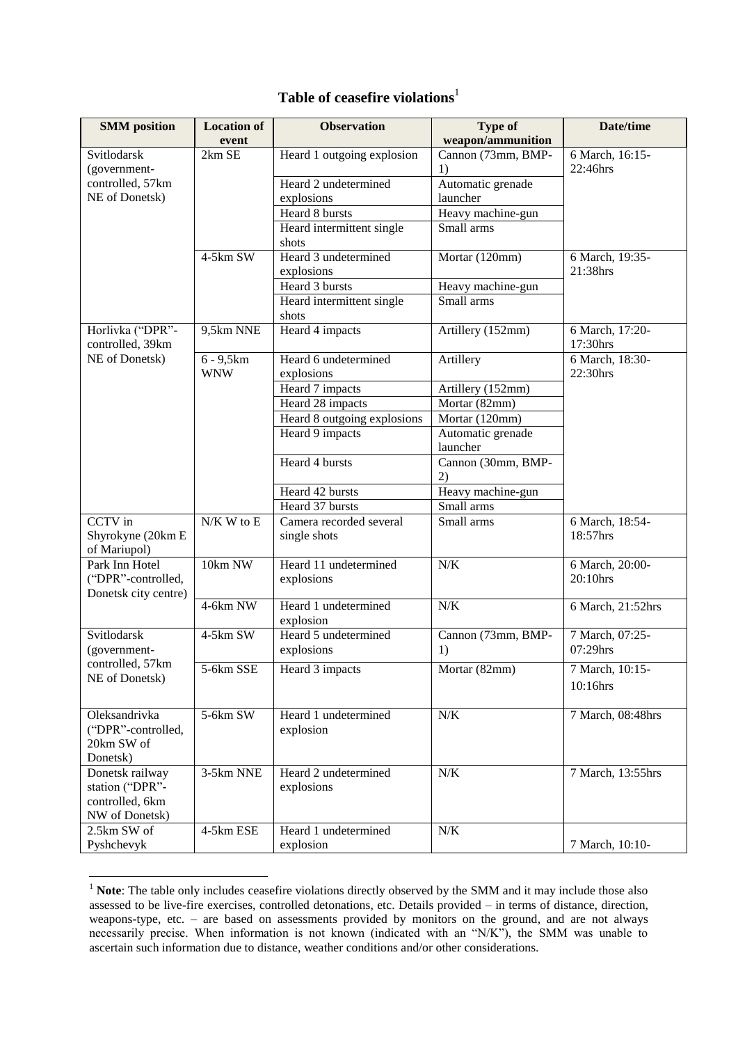## **Table of ceasefire violations**<sup>1</sup>

| <b>SMM</b> position                  | <b>Location of</b> | <b>Observation</b>          | <b>Type of</b>     | Date/time                   |
|--------------------------------------|--------------------|-----------------------------|--------------------|-----------------------------|
|                                      | event              |                             | weapon/ammunition  |                             |
| Svitlodarsk                          | 2km SE             | Heard 1 outgoing explosion  | Cannon (73mm, BMP- | 6 March, 16:15-             |
| (government-                         |                    |                             | 1)                 | 22:46hrs                    |
| controlled, 57km                     |                    | Heard 2 undetermined        | Automatic grenade  |                             |
| NE of Donetsk)                       |                    | explosions                  | launcher           |                             |
|                                      |                    | Heard 8 bursts              | Heavy machine-gun  |                             |
|                                      |                    | Heard intermittent single   | Small arms         |                             |
|                                      |                    | shots                       |                    |                             |
|                                      | $4-5km$ SW         | Heard 3 undetermined        | Mortar (120mm)     | 6 March, 19:35-             |
|                                      |                    | explosions                  |                    | 21:38hrs                    |
|                                      |                    | Heard 3 bursts              | Heavy machine-gun  |                             |
|                                      |                    | Heard intermittent single   | Small arms         |                             |
|                                      |                    | shots                       |                    |                             |
| Horlivka ("DPR"-<br>controlled, 39km | 9,5km NNE          | Heard 4 impacts             | Artillery (152mm)  | 6 March, 17:20-<br>17:30hrs |
| NE of Donetsk)                       | $6 - 9,5km$        | Heard 6 undetermined        | Artillery          | 6 March, 18:30-             |
|                                      | <b>WNW</b>         | explosions                  |                    | 22:30hrs                    |
|                                      |                    | Heard 7 impacts             | Artillery (152mm)  |                             |
|                                      |                    | Heard 28 impacts            | Mortar (82mm)      |                             |
|                                      |                    | Heard 8 outgoing explosions | Mortar (120mm)     |                             |
|                                      |                    | Heard 9 impacts             | Automatic grenade  |                             |
|                                      |                    |                             | launcher           |                             |
|                                      |                    | Heard 4 bursts              | Cannon (30mm, BMP- |                             |
|                                      |                    |                             | 2)                 |                             |
|                                      |                    | Heard 42 bursts             | Heavy machine-gun  |                             |
|                                      |                    | Heard 37 bursts             | Small arms         |                             |
| <b>CCTV</b> in                       | $N/K$ W to E       | Camera recorded several     | Small arms         | 6 March, 18:54-             |
| Shyrokyne (20km E                    |                    | single shots                |                    | 18:57hrs                    |
| of Mariupol)                         |                    |                             |                    |                             |
| Park Inn Hotel                       | 10km NW            | Heard 11 undetermined       | N/K                | 6 March, 20:00-             |
| ("DPR"-controlled,                   |                    | explosions                  |                    | 20:10hrs                    |
| Donetsk city centre)                 |                    |                             |                    |                             |
|                                      | 4-6km NW           | Heard 1 undetermined        | N/K                | 6 March, 21:52hrs           |
|                                      |                    | explosion                   |                    |                             |
| Svitlodarsk                          | 4-5km SW           | Heard 5 undetermined        | Cannon (73mm, BMP- | 7 March, 07:25-<br>07:29hrs |
| (government-                         |                    | explosions                  | 1)                 |                             |
| controlled, 57km<br>NE of Donetsk)   | 5-6km SSE          | Heard 3 impacts             | Mortar (82mm)      | 7 March, 10:15-             |
|                                      |                    |                             |                    | 10:16hrs                    |
|                                      |                    |                             |                    |                             |
| Oleksandrivka                        | 5-6km SW           | Heard 1 undetermined        | $N/K$              | 7 March, 08:48hrs           |
| ("DPR"-controlled,                   |                    | explosion                   |                    |                             |
| 20km SW of                           |                    |                             |                    |                             |
| Donetsk)                             |                    |                             |                    |                             |
| Donetsk railway                      | 3-5km NNE          | Heard 2 undetermined        | $N/K$              | 7 March, 13:55hrs           |
| station ("DPR"-                      |                    | explosions                  |                    |                             |
| controlled, 6km                      |                    |                             |                    |                             |
| NW of Donetsk)                       |                    |                             |                    |                             |
| 2.5km SW of                          | 4-5km ESE          | Heard 1 undetermined        | $N/K$              |                             |
| Pyshchevyk                           |                    | explosion                   |                    | 7 March, 10:10-             |

<sup>&</sup>lt;sup>1</sup> **Note**: The table only includes ceasefire violations directly observed by the SMM and it may include those also assessed to be live-fire exercises, controlled detonations, etc. Details provided – in terms of distance, direction, weapons-type, etc. – are based on assessments provided by monitors on the ground, and are not always necessarily precise. When information is not known (indicated with an "N/K"), the SMM was unable to ascertain such information due to distance, weather conditions and/or other considerations.

**.**